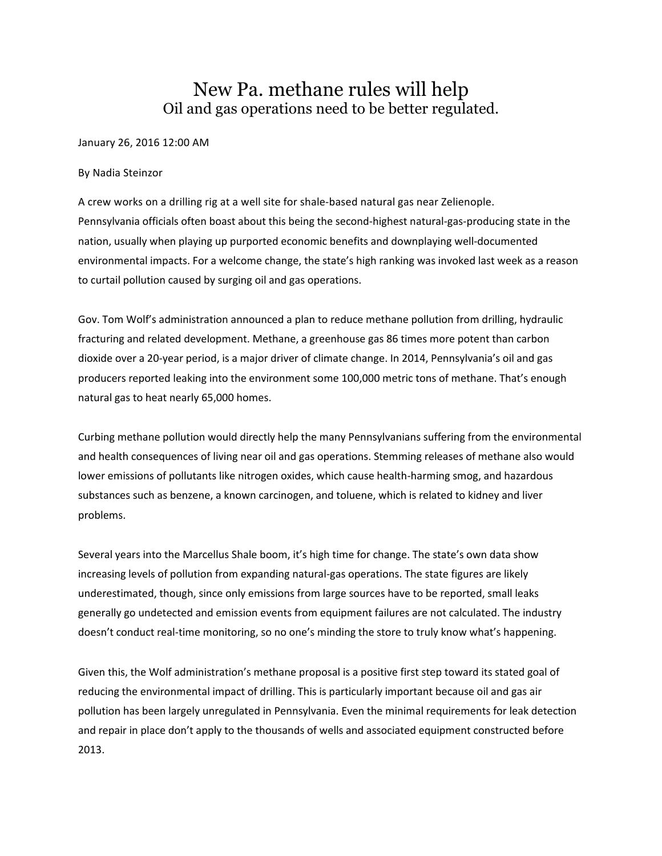## New Pa. methane rules will help Oil and gas operations need to be better regulated.

## January 26, 2016 12:00 AM

## By Nadia Steinzor

A crew works on a drilling rig at a well site for shale-based natural gas near Zelienople. Pennsylvania officials often boast about this being the second-highest natural-gas-producing state in the nation, usually when playing up purported economic benefits and downplaying well-documented environmental impacts. For a welcome change, the state's high ranking was invoked last week as a reason to curtail pollution caused by surging oil and gas operations.

Gov. Tom Wolf's administration announced a plan to reduce methane pollution from drilling, hydraulic fracturing and related development. Methane, a greenhouse gas 86 times more potent than carbon dioxide over a 20-year period, is a major driver of climate change. In 2014, Pennsylvania's oil and gas producers reported leaking into the environment some 100,000 metric tons of methane. That's enough natural gas to heat nearly 65,000 homes.

Curbing methane pollution would directly help the many Pennsylvanians suffering from the environmental and health consequences of living near oil and gas operations. Stemming releases of methane also would lower emissions of pollutants like nitrogen oxides, which cause health-harming smog, and hazardous substances such as benzene, a known carcinogen, and toluene, which is related to kidney and liver problems.

Several years into the Marcellus Shale boom, it's high time for change. The state's own data show increasing levels of pollution from expanding natural-gas operations. The state figures are likely underestimated, though, since only emissions from large sources have to be reported, small leaks generally go undetected and emission events from equipment failures are not calculated. The industry doesn't conduct real-time monitoring, so no one's minding the store to truly know what's happening.

Given this, the Wolf administration's methane proposal is a positive first step toward its stated goal of reducing the environmental impact of drilling. This is particularly important because oil and gas air pollution has been largely unregulated in Pennsylvania. Even the minimal requirements for leak detection and repair in place don't apply to the thousands of wells and associated equipment constructed before 2013.